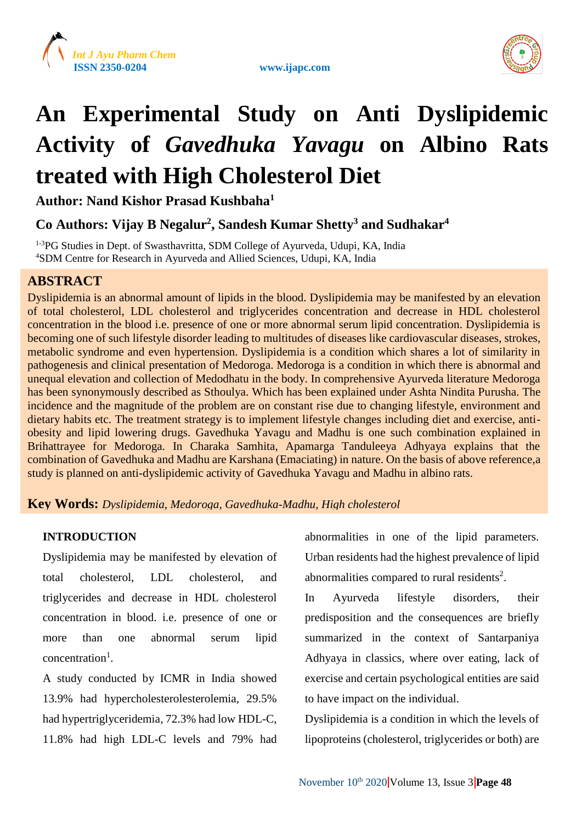





# **An Experimental Study on Anti Dyslipidemic Activity of** *Gavedhuka Yavagu* **on Albino Rats treated with High Cholesterol Diet**

**Author: Nand Kishor Prasad Kushbaha<sup>1</sup>**

**Co Authors: Vijay B Negalur<sup>2</sup> , Sandesh Kumar Shetty<sup>3</sup> and Sudhakar<sup>4</sup>**

<sup>1-3</sup>PG Studies in Dept. of Swasthavritta, SDM College of Ayurveda, Udupi, KA, India <sup>4</sup>SDM Centre for Research in Ayurveda and Allied Sciences, Udupi, KA, India

# **ABSTRACT**

Dyslipidemia is an abnormal amount of lipids in the blood. Dyslipidemia may be manifested by an elevation of total cholesterol, LDL cholesterol and triglycerides concentration and decrease in HDL cholesterol concentration in the blood i.e. presence of one or more abnormal serum lipid concentration. Dyslipidemia is becoming one of such lifestyle disorder leading to multitudes of diseases like cardiovascular diseases, strokes, metabolic syndrome and even hypertension. Dyslipidemia is a condition which shares a lot of similarity in pathogenesis and clinical presentation of Medoroga. Medoroga is a condition in which there is abnormal and unequal elevation and collection of Medodhatu in the body. In comprehensive Ayurveda literature Medoroga has been synonymously described as Sthoulya. Which has been explained under Ashta Nindita Purusha. The incidence and the magnitude of the problem are on constant rise due to changing lifestyle, environment and dietary habits etc. The treatment strategy is to implement lifestyle changes including diet and exercise, antiobesity and lipid lowering drugs. Gavedhuka Yavagu and Madhu is one such combination explained in Brihattrayee for Medoroga. In Charaka Samhita, Apamarga Tanduleeya Adhyaya explains that the combination of Gavedhuka and Madhu are Karshana (Emaciating) in nature. On the basis of above reference,a study is planned on anti-dyslipidemic activity of Gavedhuka Yavagu and Madhu in albino rats.

**Key Words:** *Dyslipidemia, Medoroga, Gavedhuka-Madhu, High cholesterol*

# **INTRODUCTION**

Dyslipidemia may be manifested by elevation of total cholesterol, LDL cholesterol, and triglycerides and decrease in HDL cholesterol concentration in blood. i.e. presence of one or more than one abnormal serum lipid concentration<sup>1</sup>.

A study conducted by ICMR in India showed 13.9% had hypercholesterolesterolemia, 29.5% had hypertriglyceridemia, 72.3% had low HDL-C, 11.8% had high LDL-C levels and 79% had abnormalities in one of the lipid parameters. Urban residents had the highest prevalence of lipid abnormalities compared to rural residents<sup>2</sup>.

In Ayurveda lifestyle disorders, their predisposition and the consequences are briefly summarized in the context of Santarpaniya Adhyaya in classics, where over eating, lack of exercise and certain psychological entities are said to have impact on the individual.

Dyslipidemia is a condition in which the levels of lipoproteins (cholesterol, triglycerides or both) are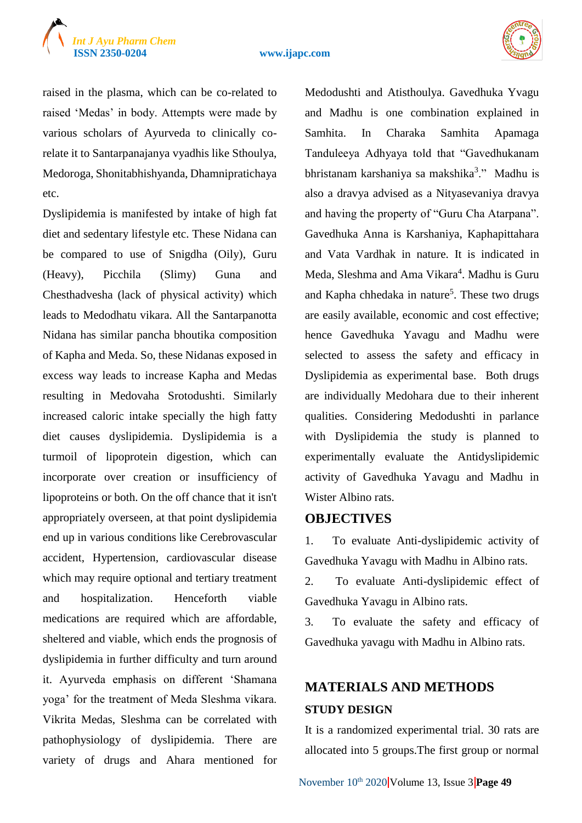

raised in the plasma, which can be co-related to raised 'Medas' in body. Attempts were made by various scholars of Ayurveda to clinically corelate it to Santarpanajanya vyadhis like Sthoulya, Medoroga, Shonitabhishyanda, Dhamnipratichaya etc.

Dyslipidemia is manifested by intake of high fat diet and sedentary lifestyle etc. These Nidana can be compared to use of Snigdha (Oily), Guru (Heavy), Picchila (Slimy) Guna and Chesthadvesha (lack of physical activity) which leads to Medodhatu vikara. All the Santarpanotta Nidana has similar pancha bhoutika composition of Kapha and Meda. So, these Nidanas exposed in excess way leads to increase Kapha and Medas resulting in Medovaha Srotodushti. Similarly increased caloric intake specially the high fatty diet causes dyslipidemia. Dyslipidemia is a turmoil of lipoprotein digestion, which can incorporate over creation or insufficiency of lipoproteins or both. On the off chance that it isn't appropriately overseen, at that point dyslipidemia end up in various conditions like Cerebrovascular accident, Hypertension, cardiovascular disease which may require optional and tertiary treatment and hospitalization. Henceforth viable medications are required which are affordable, sheltered and viable, which ends the prognosis of dyslipidemia in further difficulty and turn around it. Ayurveda emphasis on different 'Shamana yoga' for the treatment of Meda Sleshma vikara. Vikrita Medas, Sleshma can be correlated with pathophysiology of dyslipidemia. There are variety of drugs and Ahara mentioned for

Medodushti and Atisthoulya. Gavedhuka Yvagu and Madhu is one combination explained in Samhita. In Charaka Samhita Apamaga Tanduleeya Adhyaya told that "Gavedhukanam bhristanam karshaniya sa makshika<sup>3</sup>." Madhu is also a dravya advised as a Nityasevaniya dravya and having the property of "Guru Cha Atarpana". Gavedhuka Anna is Karshaniya, Kaphapittahara and Vata Vardhak in nature. It is indicated in Meda, Sleshma and Ama Vikara<sup>4</sup>. Madhu is Guru and Kapha chhedaka in nature<sup>5</sup>. These two drugs are easily available, economic and cost effective; hence Gavedhuka Yavagu and Madhu were selected to assess the safety and efficacy in Dyslipidemia as experimental base. Both drugs are individually Medohara due to their inherent qualities. Considering Medodushti in parlance with Dyslipidemia the study is planned to experimentally evaluate the Antidyslipidemic activity of Gavedhuka Yavagu and Madhu in Wister Albino rats.

# **OBJECTIVES**

1. To evaluate Anti-dyslipidemic activity of Gavedhuka Yavagu with Madhu in Albino rats.

2. To evaluate Anti-dyslipidemic effect of Gavedhuka Yavagu in Albino rats.

3. To evaluate the safety and efficacy of Gavedhuka yavagu with Madhu in Albino rats.

# **MATERIALS AND METHODS STUDY DESIGN**

It is a randomized experimental trial. 30 rats are allocated into 5 groups.The first group or normal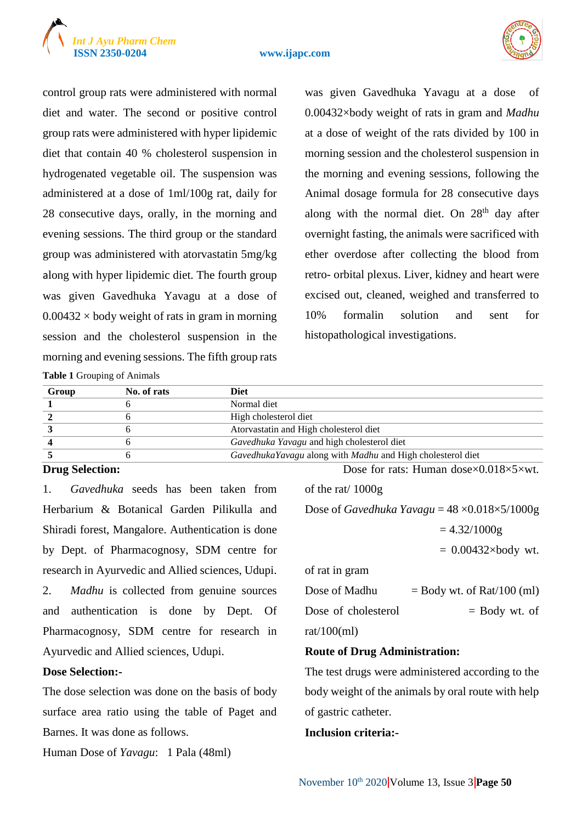



control group rats were administered with normal diet and water. The second or positive control group rats were administered with hyper lipidemic diet that contain 40 % cholesterol suspension in hydrogenated vegetable oil. The suspension was administered at a dose of 1ml/100g rat, daily for 28 consecutive days, orally, in the morning and evening sessions. The third group or the standard group was administered with atorvastatin 5mg/kg along with hyper lipidemic diet. The fourth group was given Gavedhuka Yavagu at a dose of  $0.00432 \times$  body weight of rats in gram in morning session and the cholesterol suspension in the morning and evening sessions. The fifth group rats **Table 1** Grouping of Animals

was given Gavedhuka Yavagu at a dose of 0.00432×body weight of rats in gram and *Madhu* at a dose of weight of the rats divided by 100 in morning session and the cholesterol suspension in the morning and evening sessions, following the Animal dosage formula for 28 consecutive days along with the normal diet. On  $28<sup>th</sup>$  day after overnight fasting, the animals were sacrificed with ether overdose after collecting the blood from retro- orbital plexus. Liver, kidney and heart were excised out, cleaned, weighed and transferred to 10% formalin solution and sent for histopathological investigations.

| Group | No. of rats | <b>Diet</b>                                                              |  |
|-------|-------------|--------------------------------------------------------------------------|--|
|       |             | Normal diet                                                              |  |
|       |             | High cholesterol diet                                                    |  |
|       |             | Atorvastatin and High cholesterol diet                                   |  |
|       |             | Gavedhuka Yavagu and high cholesterol diet                               |  |
|       |             | <i>GavedhukaYavagu</i> along with <i>Madhu</i> and High cholesterol diet |  |
|       |             |                                                                          |  |

# **Drug Selection:**

1. *Gavedhuka* seeds has been taken from Herbarium & Botanical Garden Pilikulla and Shiradi forest, Mangalore. Authentication is done by Dept. of Pharmacognosy, SDM centre for research in Ayurvedic and Allied sciences, Udupi.

2. *Madhu* is collected from genuine sources and authentication is done by Dept. Of Pharmacognosy, SDM centre for research in Ayurvedic and Allied sciences, Udupi.

# **Dose Selection:-**

The dose selection was done on the basis of body surface area ratio using the table of Paget and Barnes. It was done as follows.

Human Dose of *Yavagu*: 1 Pala (48ml)

Dose for rats: Human dose×0.018×5×wt.

Dose of *Gavedhuka Yavagu* = 48 ×0.018×5/1000g

 $= 4.32/1000g$ 

 $= 0.00432 \times$ body wt.

of rat in gram

of the rat/ 1000g

| Dose of Madhu       | $=$ Body wt. of Rat/100 (ml) |
|---------------------|------------------------------|
| Dose of cholesterol | $=$ Body wt. of              |
| rat/ $100$ (ml)     |                              |

# **Route of Drug Administration:**

The test drugs were administered according to the body weight of the animals by oral route with help of gastric catheter.

# **Inclusion criteria:-**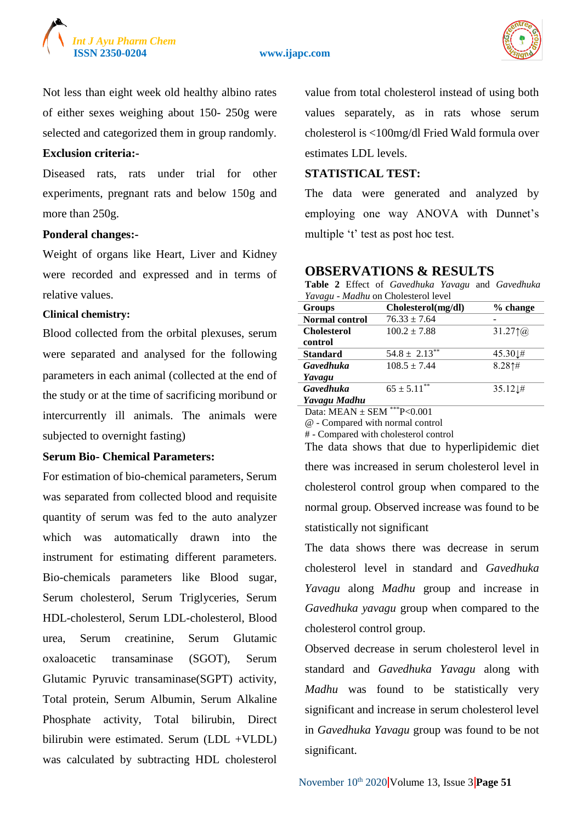



Not less than eight week old healthy albino rates of either sexes weighing about 150- 250g were selected and categorized them in group randomly.

# **Exclusion criteria:-**

Diseased rats, rats under trial for other experiments, pregnant rats and below 150g and more than 250g.

# **Ponderal changes:-**

Weight of organs like Heart, Liver and Kidney were recorded and expressed and in terms of relative values.

# **Clinical chemistry:**

Blood collected from the orbital plexuses, serum were separated and analysed for the following parameters in each animal (collected at the end of the study or at the time of sacrificing moribund or intercurrently ill animals. The animals were subjected to overnight fasting)

# **Serum Bio- Chemical Parameters:**

For estimation of bio-chemical parameters, Serum was separated from collected blood and requisite quantity of serum was fed to the auto analyzer which was automatically drawn into the instrument for estimating different parameters. Bio-chemicals parameters like Blood sugar, Serum cholesterol, Serum Triglyceries, Serum HDL-cholesterol, Serum LDL-cholesterol, Blood urea, Serum creatinine, Serum Glutamic oxaloacetic transaminase (SGOT), Serum Glutamic Pyruvic transaminase(SGPT) activity, Total protein, Serum Albumin, Serum Alkaline Phosphate activity, Total bilirubin, Direct bilirubin were estimated. Serum (LDL +VLDL) was calculated by subtracting HDL cholesterol

value from total cholesterol instead of using both values separately, as in rats whose serum cholesterol is <100mg/dl Fried Wald formula over estimates LDL levels.

# **STATISTICAL TEST:**

The data were generated and analyzed by employing one way ANOVA with Dunnet's multiple 't' test as post hoc test.

# **OBSERVATIONS & RESULTS**

**Table 2** Effect of *Gavedhuka Yavagu* and *Gavedhuka Yavagu - Madhu* on Cholesterol level

| <b>Groups</b>                    | Cholesterol(mg/dl) | % change              |  |
|----------------------------------|--------------------|-----------------------|--|
| <b>Normal control</b>            | $76.33 \pm 7.64$   |                       |  |
| <b>Cholesterol</b>               | $100.2 \pm 7.88$   | $31.27 \text{ n}$     |  |
| control                          |                    |                       |  |
| <b>Standard</b>                  | $54.8 \pm 2.13***$ | $45.30 \downarrow \#$ |  |
| Gavedhuka                        | $108.5 \pm 7.44$   | $8.28$ 1#             |  |
| Yavagu                           |                    |                       |  |
| Gavedhuka                        | $65 \pm 5.11***$   | $35.12 \downarrow \#$ |  |
| Yavagu Madhu                     |                    |                       |  |
| Arrest Andrew Arrivers<br>------ |                    |                       |  |

Data:  $MEAN \pm SEM$  \*\*\* $P < 0.001$ 

@ - Compared with normal control

# - Compared with cholesterol control

The data shows that due to hyperlipidemic diet there was increased in serum cholesterol level in cholesterol control group when compared to the normal group. Observed increase was found to be statistically not significant

The data shows there was decrease in serum cholesterol level in standard and *Gavedhuka Yavagu* along *Madhu* group and increase in *Gavedhuka yavagu* group when compared to the cholesterol control group.

Observed decrease in serum cholesterol level in standard and *Gavedhuka Yavagu* along with *Madhu* was found to be statistically very significant and increase in serum cholesterol level in *Gavedhuka Yavagu* group was found to be not significant.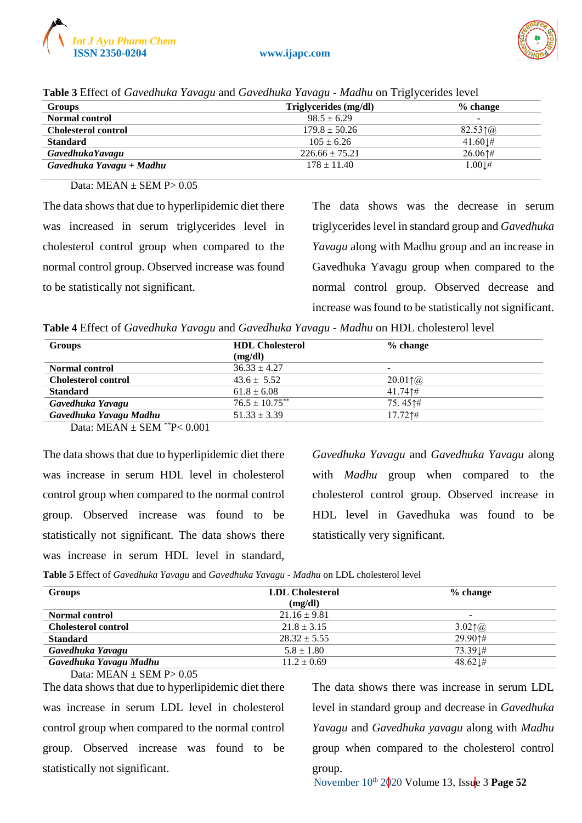



| <b>Groups</b>              | Triglycerides (mg/dl) | % change                      |
|----------------------------|-----------------------|-------------------------------|
| <b>Normal control</b>      | $98.5 \pm 6.29$       | ۰.                            |
| <b>Cholesterol control</b> | $179.8 \pm 50.26$     | 82.53 $\uparrow$ ( <i>a</i> ) |
| <b>Standard</b>            | $105 \pm 6.26$        | $41.60 \downarrow \#$         |
| GavedhukaYavagu            | $226.66 \pm 75.21$    | 26.061#                       |
| Gavedhuka Yavagu + Madhu   | $178 \pm 11.40$       | $1.00 \downarrow \#$          |
|                            |                       |                               |

### **Table 3** Effect of *Gavedhuka Yavagu* and *Gavedhuka Yavagu - Madhu* on Triglycerides level

Data:  $MEAN \pm SEM$  P > 0.05

The data shows that due to hyperlipidemic diet there was increased in serum triglycerides level in cholesterol control group when compared to the normal control group. Observed increase was found to be statistically not significant.

The data shows was the decrease in serum triglycerides level in standard group and *Gavedhuka Yavagu* along with Madhu group and an increase in Gavedhuka Yavagu group when compared to the normal control group. Observed decrease and increase was found to be statistically not significant.

|  |  | Table 4 Effect of Gavedhuka Yavagu and Gavedhuka Yavagu - Madhu on HDL cholesterol level |  |
|--|--|------------------------------------------------------------------------------------------|--|
|  |  |                                                                                          |  |

| <b>Groups</b>              | <b>HDL Cholesterol</b><br>(mg/dl) | $%$ change                |  |
|----------------------------|-----------------------------------|---------------------------|--|
| <b>Normal control</b>      | $36.33 \pm 4.27$                  | $\overline{\phantom{0}}$  |  |
| <b>Cholesterol control</b> | $43.6 \pm 5.52$                   | $20.01\,\uparrow\!\omega$ |  |
| <b>Standard</b>            | $61.8 \pm 6.08$                   | $41.74$ 1#                |  |
| Gavedhuka Yavagu           | $76.5 \pm 10.75***$               | $75.45$ <sup>#</sup>      |  |
| Gavedhuka Yavagu Madhu     | $51.33 \pm 3.39$                  | $17.72$ 1#                |  |

Data:  $MEAN + SEM$ <sup>\*\*</sup> $P < 0.001$ 

The data shows that due to hyperlipidemic diet there was increase in serum HDL level in cholesterol control group when compared to the normal control group. Observed increase was found to be statistically not significant. The data shows there was increase in serum HDL level in standard, *Gavedhuka Yavagu* and *Gavedhuka Yavagu* along with *Madhu* group when compared to the cholesterol control group. Observed increase in HDL level in Gavedhuka was found to be statistically very significant.

**Table 5** Effect of *Gavedhuka Yavagu* and *Gavedhuka Yavagu - Madhu* on LDL cholesterol level

| <b>Groups</b>              | <b>LDL</b> Cholesterol | $%$ change                  |
|----------------------------|------------------------|-----------------------------|
|                            | (mg/dl)                |                             |
| <b>Normal control</b>      | $21.16 \pm 9.81$       | $\overline{\phantom{a}}$    |
| <b>Cholesterol control</b> | $21.8 \pm 3.15$        | $3.02\uparrow$ ( <i>a</i> ) |
| <b>Standard</b>            | $28.32 \pm 5.55$       | 29.901#                     |
| Gavedhuka Yavagu           | $5.8 \pm 1.80$         | $73.39 \downarrow \#$       |
| Gavedhuka Yavagu Madhu     | $11.2 \pm 0.69$        | $48.62 \downarrow \#$       |

Data:  $MEAN + SEM$  P $> 0.05$ 

The data shows that due to hyperlipidemic diet there was increase in serum LDL level in cholesterol control group when compared to the normal control group. Observed increase was found to be statistically not significant.

The data shows there was increase in serum LDL level in standard group and decrease in *Gavedhuka Yavagu* and *Gavedhuka yavagu* along with *Madhu* group when compared to the cholesterol control group.

November  $10^{th}$  2020 Volume 13, Issue 3 Page 52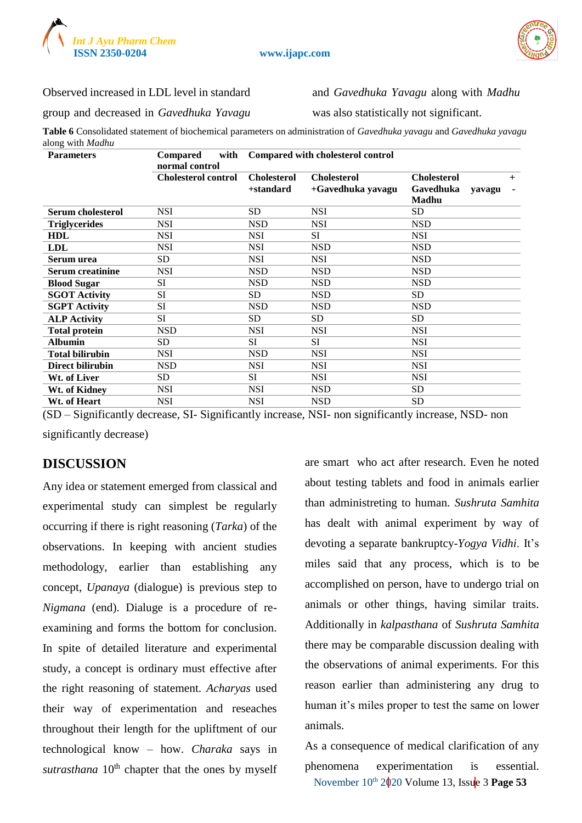



# Observed increased in LDL level in standard

# and *Gavedhuka Yavagu* along with *Madhu*

group and decreased in *Gavedhuka Yavagu*

was also statistically not significant.

**Table 6** Consolidated statement of biochemical parameters on administration of *Gavedhuka yavagu* and *Gavedhuka yavagu* along with *Madhu*

| <b>Parameters</b>        | with<br><b>Compared</b>                      | Compared with cholesterol control |                                         |                                                                  |
|--------------------------|----------------------------------------------|-----------------------------------|-----------------------------------------|------------------------------------------------------------------|
|                          | normal control<br><b>Cholesterol control</b> | <b>Cholesterol</b><br>+standard   | <b>Cholesterol</b><br>+Gavedhuka yavagu | <b>Cholesterol</b><br>$+$<br>Gavedhuka<br>yavagu<br><b>Madhu</b> |
| <b>Serum cholesterol</b> | <b>NSI</b>                                   | SD.                               | <b>NSI</b>                              | SD                                                               |
| <b>Triglycerides</b>     | <b>NSI</b>                                   | <b>NSD</b>                        | <b>NSI</b>                              | <b>NSD</b>                                                       |
| <b>HDL</b>               | <b>NSI</b>                                   | NSI                               | SI                                      | <b>NSI</b>                                                       |
| <b>LDL</b>               | <b>NSI</b>                                   | NSI                               | <b>NSD</b>                              | <b>NSD</b>                                                       |
| Serum urea               | SD                                           | NSI                               | <b>NSI</b>                              | <b>NSD</b>                                                       |
| <b>Serum creatinine</b>  | <b>NSI</b>                                   | <b>NSD</b>                        | <b>NSD</b>                              | <b>NSD</b>                                                       |
| <b>Blood Sugar</b>       | SI                                           | <b>NSD</b>                        | <b>NSD</b>                              | <b>NSD</b>                                                       |
| <b>SGOT Activity</b>     | SI                                           | SD.                               | <b>NSD</b>                              | SD                                                               |
| <b>SGPT Activity</b>     | SI                                           | <b>NSD</b>                        | <b>NSD</b>                              | <b>NSD</b>                                                       |
| <b>ALP Activity</b>      | SI                                           | <b>SD</b>                         | <b>SD</b>                               | <b>SD</b>                                                        |
| <b>Total protein</b>     | <b>NSD</b>                                   | <b>NSI</b>                        | <b>NSI</b>                              | <b>NSI</b>                                                       |
| <b>Albumin</b>           | <b>SD</b>                                    | SI                                | SI                                      | <b>NSI</b>                                                       |
| <b>Total bilirubin</b>   | <b>NSI</b>                                   | <b>NSD</b>                        | <b>NSI</b>                              | <b>NSI</b>                                                       |
| Direct bilirubin         | <b>NSD</b>                                   | <b>NSI</b>                        | <b>NSI</b>                              | <b>NSI</b>                                                       |
| Wt. of Liver             | <b>SD</b>                                    | SI                                | <b>NSI</b>                              | <b>NSI</b>                                                       |
| Wt. of Kidney            | <b>NSI</b>                                   | <b>NSI</b>                        | <b>NSD</b>                              | <b>SD</b>                                                        |
| Wt. of Heart             | <b>NSI</b>                                   | <b>NSI</b>                        | <b>NSD</b>                              | SD                                                               |

(SD – Significantly decrease, SI- Significantly increase, NSI- non significantly increase, NSD- non significantly decrease)

# **DISCUSSION**

Any idea or statement emerged from classical and experimental study can simplest be regularly occurring if there is right reasoning (*Tarka*) of the observations. In keeping with ancient studies methodology, earlier than establishing any concept, *Upanaya* (dialogue) is previous step to *Nigmana* (end). Dialuge is a procedure of reexamining and forms the bottom for conclusion. In spite of detailed literature and experimental study, a concept is ordinary must effective after the right reasoning of statement. *Acharyas* used their way of experimentation and reseaches throughout their length for the upliftment of our technological know – how. *Charaka* says in sutrasthana 10<sup>th</sup> chapter that the ones by myself are smart who act after research. Even he noted about testing tablets and food in animals earlier than administreting to human. *Sushruta Samhita* has dealt with animal experiment by way of devoting a separate bankruptcy-*Yogya Vidhi*. It's miles said that any process, which is to be accomplished on person, have to undergo trial on animals or other things, having similar traits. Additionally in *kalpasthana* of *Sushruta Samhita* there may be comparable discussion dealing with the observations of animal experiments. For this reason earlier than administering any drug to human it's miles proper to test the same on lower animals.

November  $10^{th}$  20 20 Volume 13, Issue 3 Page 53 As a consequence of medical clarification of any phenomena experimentation is essential.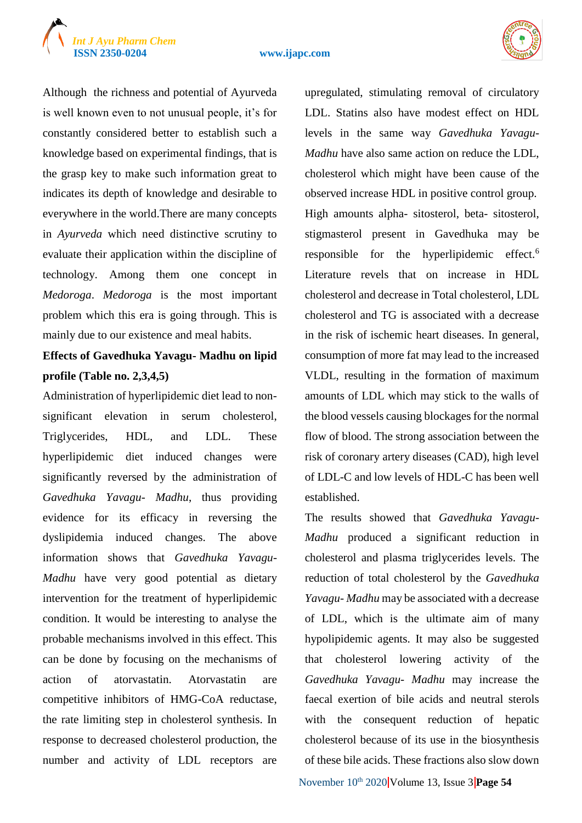# *Int J Ayu Pharm Chem*





Although the richness and potential of Ayurveda is well known even to not unusual people, it's for constantly considered better to establish such a knowledge based on experimental findings, that is the grasp key to make such information great to indicates its depth of knowledge and desirable to everywhere in the world.There are many concepts in *Ayurveda* which need distinctive scrutiny to evaluate their application within the discipline of technology. Among them one concept in *Medoroga*. *Medoroga* is the most important problem which this era is going through. This is mainly due to our existence and meal habits.

# **Effects of Gavedhuka Yavagu- Madhu on lipid profile (Table no. 2,3,4,5)**

Administration of hyperlipidemic diet lead to nonsignificant elevation in serum cholesterol, Triglycerides, HDL, and LDL. These hyperlipidemic diet induced changes were significantly reversed by the administration of *Gavedhuka Yavagu- Madhu*, thus providing evidence for its efficacy in reversing the dyslipidemia induced changes. The above information shows that *Gavedhuka Yavagu-Madhu* have very good potential as dietary intervention for the treatment of hyperlipidemic condition. It would be interesting to analyse the probable mechanisms involved in this effect. This can be done by focusing on the mechanisms of action of atorvastatin. Atorvastatin are competitive inhibitors of HMG-CoA reductase, the rate limiting step in cholesterol synthesis. In response to decreased cholesterol production, the number and activity of LDL receptors are

upregulated, stimulating removal of circulatory LDL. Statins also have modest effect on HDL levels in the same way *Gavedhuka Yavagu-Madhu* have also same action on reduce the LDL, cholesterol which might have been cause of the observed increase HDL in positive control group. High amounts alpha- sitosterol, beta- sitosterol, stigmasterol present in Gavedhuka may be responsible for the hyperlipidemic effect.<sup>6</sup> Literature revels that on increase in HDL cholesterol and decrease in Total cholesterol, LDL cholesterol and TG is associated with a decrease in the risk of ischemic heart diseases. In general, consumption of more fat may lead to the increased VLDL, resulting in the formation of maximum amounts of LDL which may stick to the walls of the blood vessels causing blockages for the normal flow of blood. The strong association between the risk of coronary artery diseases (CAD), high level of LDL-C and low levels of HDL-C has been well established.

The results showed that *Gavedhuka Yavagu-Madhu* produced a significant reduction in cholesterol and plasma triglycerides levels. The reduction of total cholesterol by the *Gavedhuka Yavagu- Madhu* may be associated with a decrease of LDL, which is the ultimate aim of many hypolipidemic agents. It may also be suggested that cholesterol lowering activity of the *Gavedhuka Yavagu- Madhu* may increase the faecal exertion of bile acids and neutral sterols with the consequent reduction of hepatic cholesterol because of its use in the biosynthesis of these bile acids. These fractions also slow down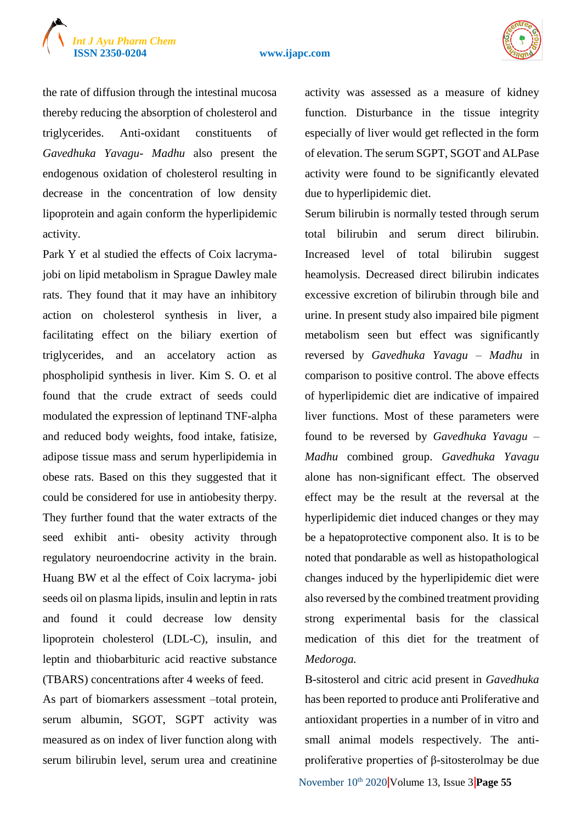



the rate of diffusion through the intestinal mucosa thereby reducing the absorption of cholesterol and triglycerides. Anti-oxidant constituents of *Gavedhuka Yavagu- Madhu* also present the endogenous oxidation of cholesterol resulting in decrease in the concentration of low density lipoprotein and again conform the hyperlipidemic activity.

Park Y et al studied the effects of Coix lacrymajobi on lipid metabolism in Sprague Dawley male rats. They found that it may have an inhibitory action on cholesterol synthesis in liver, a facilitating effect on the biliary exertion of triglycerides, and an accelatory action as phospholipid synthesis in liver. Kim S. O. et al found that the crude extract of seeds could modulated the expression of leptinand TNF-alpha and reduced body weights, food intake, fatisize, adipose tissue mass and serum hyperlipidemia in obese rats. Based on this they suggested that it could be considered for use in antiobesity therpy. They further found that the water extracts of the seed exhibit anti- obesity activity through regulatory neuroendocrine activity in the brain. Huang BW et al the effect of Coix lacryma- jobi seeds oil on plasma lipids, insulin and leptin in rats and found it could decrease low density lipoprotein cholesterol (LDL-C), insulin, and leptin and thiobarbituric acid reactive substance (TBARS) concentrations after 4 weeks of feed.

As part of biomarkers assessment –total protein, serum albumin, SGOT, SGPT activity was measured as on index of liver function along with serum bilirubin level, serum urea and creatinine activity was assessed as a measure of kidney function. Disturbance in the tissue integrity especially of liver would get reflected in the form of elevation. The serum SGPT, SGOT and ALPase activity were found to be significantly elevated due to hyperlipidemic diet.

Serum bilirubin is normally tested through serum total bilirubin and serum direct bilirubin. Increased level of total bilirubin suggest heamolysis. Decreased direct bilirubin indicates excessive excretion of bilirubin through bile and urine. In present study also impaired bile pigment metabolism seen but effect was significantly reversed by *Gavedhuka Yavagu – Madhu* in comparison to positive control. The above effects of hyperlipidemic diet are indicative of impaired liver functions. Most of these parameters were found to be reversed by *Gavedhuka Yavagu – Madhu* combined group. *Gavedhuka Yavagu* alone has non-significant effect. The observed effect may be the result at the reversal at the hyperlipidemic diet induced changes or they may be a hepatoprotective component also. It is to be noted that pondarable as well as histopathological changes induced by the hyperlipidemic diet were also reversed by the combined treatment providing strong experimental basis for the classical medication of this diet for the treatment of *Medoroga.*

November 10<sup>th</sup> 2020 Volume 13, Issue 3 **Page 55** Β-sitosterol and citric acid present in *Gavedhuka* has been reported to produce anti Proliferative and antioxidant properties in a number of in vitro and small animal models respectively. The antiproliferative properties of β-sitosterolmay be due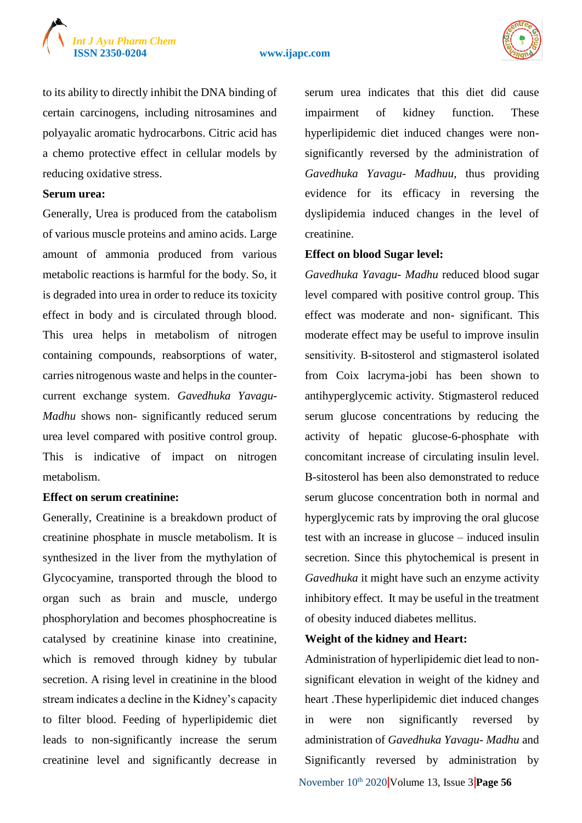

to its ability to directly inhibit the DNA binding of certain carcinogens, including nitrosamines and polyayalic aromatic hydrocarbons. Citric acid has a chemo protective effect in cellular models by reducing oxidative stress.

# **Serum urea:**

Generally, Urea is produced from the catabolism of various muscle proteins and amino acids. Large amount of ammonia produced from various metabolic reactions is harmful for the body. So, it is degraded into urea in order to reduce its toxicity effect in body and is circulated through blood. This urea helps in metabolism of nitrogen containing compounds, reabsorptions of water, carries nitrogenous waste and helps in the countercurrent exchange system. *Gavedhuka Yavagu-Madhu* shows non- significantly reduced serum urea level compared with positive control group. This is indicative of impact on nitrogen metabolism.

# **Effect on serum creatinine:**

Generally, Creatinine is a breakdown product of creatinine phosphate in muscle metabolism. It is synthesized in the liver from the mythylation of Glycocyamine, transported through the blood to organ such as brain and muscle, undergo phosphorylation and becomes phosphocreatine is catalysed by creatinine kinase into creatinine, which is removed through kidney by tubular secretion. A rising level in creatinine in the blood stream indicates a decline in the Kidney's capacity to filter blood. Feeding of hyperlipidemic diet leads to non-significantly increase the serum creatinine level and significantly decrease in serum urea indicates that this diet did cause impairment of kidney function. These hyperlipidemic diet induced changes were nonsignificantly reversed by the administration of *Gavedhuka Yavagu- Madhuu*, thus providing evidence for its efficacy in reversing the dyslipidemia induced changes in the level of creatinine.

# **Effect on blood Sugar level:**

*Gavedhuka Yavagu- Madhu* reduced blood sugar level compared with positive control group. This effect was moderate and non- significant. This moderate effect may be useful to improve insulin sensitivity. Β-sitosterol and stigmasterol isolated from Coix lacryma-jobi has been shown to antihyperglycemic activity. Stigmasterol reduced serum glucose concentrations by reducing the activity of hepatic glucose-6-phosphate with concomitant increase of circulating insulin level. Β-sitosterol has been also demonstrated to reduce serum glucose concentration both in normal and hyperglycemic rats by improving the oral glucose test with an increase in glucose – induced insulin secretion. Since this phytochemical is present in *Gavedhuka* it might have such an enzyme activity inhibitory effect. It may be useful in the treatment of obesity induced diabetes mellitus.

# **Weight of the kidney and Heart:**

November 10<sup>th</sup> 2020 Volume 13, Issue 3 **Page 56** Administration of hyperlipidemic diet lead to nonsignificant elevation in weight of the kidney and heart .These hyperlipidemic diet induced changes in were non significantly reversed by administration of *Gavedhuka Yavagu- Madhu* and Significantly reversed by administration by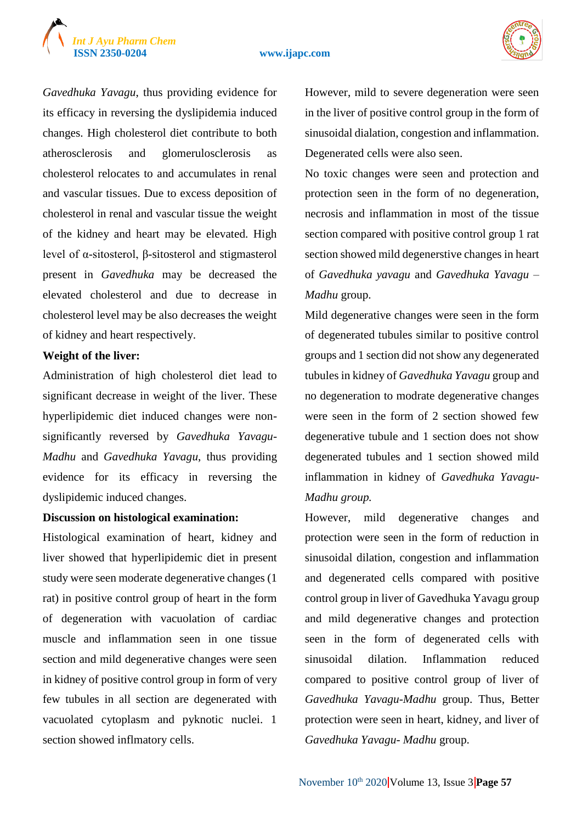# *Int J Ayu Pharm Chem*

### **ISSN 2350-0204 www.ijapc.com**



*Gavedhuka Yavagu*, thus providing evidence for its efficacy in reversing the dyslipidemia induced changes. High cholesterol diet contribute to both atherosclerosis and glomerulosclerosis as cholesterol relocates to and accumulates in renal and vascular tissues. Due to excess deposition of cholesterol in renal and vascular tissue the weight of the kidney and heart may be elevated. High level of α-sitosterol, β-sitosterol and stigmasterol present in *Gavedhuka* may be decreased the elevated cholesterol and due to decrease in cholesterol level may be also decreases the weight of kidney and heart respectively.

# **Weight of the liver:**

Administration of high cholesterol diet lead to significant decrease in weight of the liver. These hyperlipidemic diet induced changes were nonsignificantly reversed by *Gavedhuka Yavagu-Madhu* and *Gavedhuka Yavagu*, thus providing evidence for its efficacy in reversing the dyslipidemic induced changes.

# **Discussion on histological examination:**

Histological examination of heart, kidney and liver showed that hyperlipidemic diet in present study were seen moderate degenerative changes (1 rat) in positive control group of heart in the form of degeneration with vacuolation of cardiac muscle and inflammation seen in one tissue section and mild degenerative changes were seen in kidney of positive control group in form of very few tubules in all section are degenerated with vacuolated cytoplasm and pyknotic nuclei. 1 section showed inflmatory cells.

However, mild to severe degeneration were seen in the liver of positive control group in the form of sinusoidal dialation, congestion and inflammation. Degenerated cells were also seen.

No toxic changes were seen and protection and protection seen in the form of no degeneration, necrosis and inflammation in most of the tissue section compared with positive control group 1 rat section showed mild degenerstive changes in heart of *Gavedhuka yavagu* and *Gavedhuka Yavagu – Madhu* group.

Mild degenerative changes were seen in the form of degenerated tubules similar to positive control groups and 1 section did not show any degenerated tubules in kidney of *Gavedhuka Yavagu* group and no degeneration to modrate degenerative changes were seen in the form of 2 section showed few degenerative tubule and 1 section does not show degenerated tubules and 1 section showed mild inflammation in kidney of *Gavedhuka Yavagu-Madhu group.*

However, mild degenerative changes and protection were seen in the form of reduction in sinusoidal dilation, congestion and inflammation and degenerated cells compared with positive control group in liver of Gavedhuka Yavagu group and mild degenerative changes and protection seen in the form of degenerated cells with sinusoidal dilation. Inflammation reduced compared to positive control group of liver of *Gavedhuka Yavagu-Madhu* group. Thus, Better protection were seen in heart, kidney, and liver of *Gavedhuka Yavagu- Madhu* group.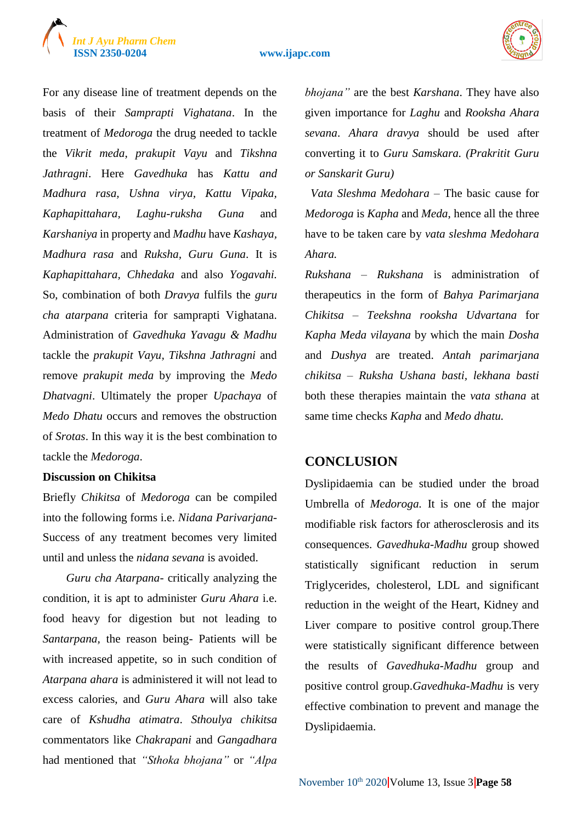# *Int J Ayu Pharm Chem*

## **ISSN 2350-0204 www.ijapc.com**



For any disease line of treatment depends on the basis of their *Samprapti Vighatana*. In the treatment of *Medoroga* the drug needed to tackle the *Vikrit meda*, *prakupit Vayu* and *Tikshna Jathragni*. Here *Gavedhuka* has *Kattu and Madhura rasa, Ushna virya, Kattu Vipaka, Kaphapittahara, Laghu-ruksha Guna* and *Karshaniya* in property and *Madhu* have *Kashaya, Madhura rasa* and *Ruksha, Guru Guna*. It is *Kaphapittahara, Chhedaka* and also *Yogavahi.* So, combination of both *Dravya* fulfils the *guru cha atarpana* criteria for samprapti Vighatana. Administration of *Gavedhuka Yavagu & Madhu* tackle the *prakupit Vayu, Tikshna Jathragni* and remove *prakupit meda* by improving the *Medo Dhatvagni*. Ultimately the proper *Upachaya* of *Medo Dhatu* occurs and removes the obstruction of *Srotas*. In this way it is the best combination to tackle the *Medoroga*.

# **Discussion on Chikitsa**

Briefly *Chikitsa* of *Medoroga* can be compiled into the following forms i.e. *Nidana Parivarjana*-Success of any treatment becomes very limited until and unless the *nidana sevana* is avoided.

 *Guru cha Atarpana*- critically analyzing the condition, it is apt to administer *Guru Ahara* i.e. food heavy for digestion but not leading to *Santarpana,* the reason being- Patients will be with increased appetite, so in such condition of *Atarpana ahara* is administered it will not lead to excess calories, and *Guru Ahara* will also take care of *Kshudha atimatra*. *Sthoulya chikitsa* commentators like *Chakrapani* and *Gangadhara*  had mentioned that *"Sthoka bhojana"* or *"Alpa*  *bhojana"* are the best *Karshana*. They have also given importance for *Laghu* and *Rooksha Ahara sevana*. *Ahara dravya* should be used after converting it to *Guru Samskara. (Prakritit Guru or Sanskarit Guru)*

 *Vata Sleshma Medohara* – The basic cause for *Medoroga* is *Kapha* and *Meda*, hence all the three have to be taken care by *vata sleshma Medohara Ahara.*

*Rukshana – Rukshana* is administration of therapeutics in the form of *Bahya Parimarjana Chikitsa – Teekshna rooksha Udvartana* for *Kapha Meda vilayana* by which the main *Dosha* and *Dushya* are treated. *Antah parimarjana chikitsa – Ruksha Ushana basti, lekhana basti* both these therapies maintain the *vata sthana* at same time checks *Kapha* and *Medo dhatu.*

# **CONCLUSION**

Dyslipidaemia can be studied under the broad Umbrella of *Medoroga.* It is one of the major modifiable risk factors for atherosclerosis and its consequences. *Gavedhuka-Madhu* group showed statistically significant reduction in serum Triglycerides, cholesterol, LDL and significant reduction in the weight of the Heart, Kidney and Liver compare to positive control group.There were statistically significant difference between the results of *Gavedhuka-Madhu* group and positive control group.*Gavedhuka-Madhu* is very effective combination to prevent and manage the Dyslipidaemia.